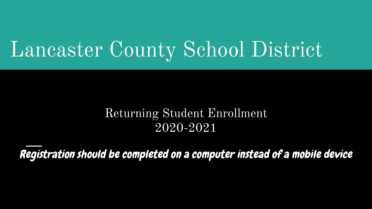# Lancaster County School District

## Returning Student Enrollment 2020-2021

Registration should be completed on a computer instead of a mobile device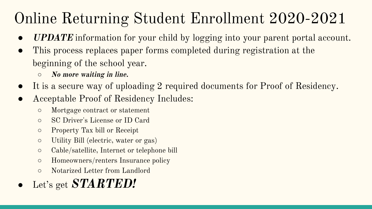## Online Returning Student Enrollment 2020-2021

- **UPDATE** information for your child by logging into your parent portal account.
- This process replaces paper forms completed during registration at the beginning of the school year.
	- *○* **No more waiting in line.**
- It is a secure way of uploading 2 required documents for Proof of Residency.
- Acceptable Proof of Residency Includes:
	- Mortgage contract or statement
	- SC Driver's License or ID Card
	- Property Tax bill or Receipt
	- Utility Bill (electric, water or gas)
	- Cable/satellite, Internet or telephone bill
	- Homeowners/renters Insurance policy
	- Notarized Letter from Landlord
- Let's get **STARTED!**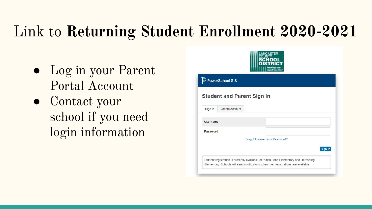## Link to **Returning Student Enrollment 2020-2021**

- Log in your Parent Portal Account
- Contact your school if you need login information

| <b>D</b> PowerSchool SIS          |                              |         |
|-----------------------------------|------------------------------|---------|
| <b>Student and Parent Sign In</b> |                              |         |
| Create Account<br>Sign In         |                              |         |
| Username                          |                              |         |
| Password                          |                              |         |
|                                   | Forgot Username or Password? |         |
|                                   |                              | Sign In |

 $\textbf{h}$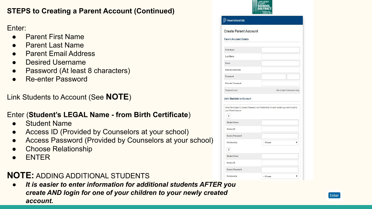### **STEPS to Creating a Parent Account (Continued)**

### Enter:

- **Parent First Name**
- **Parent Last Name**
- **Parent Email Address**
- Desired Username
- Password (At least 8 characters)
- **Re-enter Password**

Link Students to Account (See **NOTE**)

### Enter (**Student's LEGAL Name - from Birth Certificate**)

- **Student Name**
- Access ID (Provided by Counselors at your school)
- Access Password (Provided by Counselors at your school)
- **Choose Relationship**
- **ENTER**

### **NOTE:** ADDING ADDITIONAL STUDENTS

*● It is easier to enter information for additional students AFTER you create AND login for one of your children to your newly created account.*

| -Be at least 8 characters long |                                                                                                                      |
|--------------------------------|----------------------------------------------------------------------------------------------------------------------|
|                                |                                                                                                                      |
|                                |                                                                                                                      |
|                                |                                                                                                                      |
|                                |                                                                                                                      |
|                                |                                                                                                                      |
|                                |                                                                                                                      |
|                                |                                                                                                                      |
|                                |                                                                                                                      |
|                                |                                                                                                                      |
|                                |                                                                                                                      |
|                                |                                                                                                                      |
|                                |                                                                                                                      |
|                                | Enter the Access ID, Access Password, and Relationship for each student you wish to add to<br>-- Choose<br>-- Choose |

**HILLANCASTER**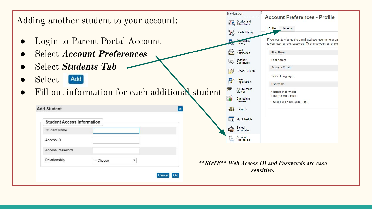|                                                  | Navigation                    | <b>Account Preferences - Profile</b>                                                                                 |
|--------------------------------------------------|-------------------------------|----------------------------------------------------------------------------------------------------------------------|
| Adding another student to your account:          | Grades and<br>Attendance<br>鹽 |                                                                                                                      |
|                                                  | <b>Grade History</b>          | Students<br>Profile                                                                                                  |
| Login to Parent Portal Account                   | History                       | If you want to change the e-mail address, username or pas<br>to your username or password. To change your name, plea |
| <b>Select Account Preferences</b>                | Email<br>Notification         | <b>First Name:</b>                                                                                                   |
|                                                  | Teacher<br>Comments           | Last Name:                                                                                                           |
| <b>Select Students Tab</b>                       | <b>School Bulletin</b>        | <b>Account Email:</b>                                                                                                |
| Select<br><b>Add</b>                             | Class<br>Registration         | <b>Select Language</b>                                                                                               |
|                                                  | <b>IGP Success</b><br>Viewer  | Username:<br><b>Current Password:</b>                                                                                |
| Fill out information for each additional student | Curriculum<br>Browser         | New password must:                                                                                                   |
| <b>Add Student</b>                               |                               | · Be at least 8 characters long                                                                                      |
| E                                                | <b>Balance</b>                |                                                                                                                      |
| <b>Student Access Information</b>                | $\Box$<br>My Schedule         |                                                                                                                      |
| <b>Student Name</b>                              | School<br>Information<br>臨    |                                                                                                                      |
| Access ID                                        | Account<br>Preferences<br>P   |                                                                                                                      |
| <b>Access Password</b>                           |                               |                                                                                                                      |
| Relationship<br>-- Choose<br>▼                   |                               | **NOTE** Web Access ID and Passwords are case                                                                        |
|                                                  |                               | sensitive.                                                                                                           |
| <b>OK</b><br>Cancel                              |                               |                                                                                                                      |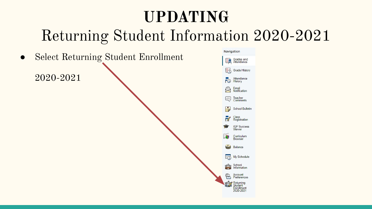## **UPDATING** Returning Student Information 2020-2021

● Select Returning Student Enrollment 2020-2021

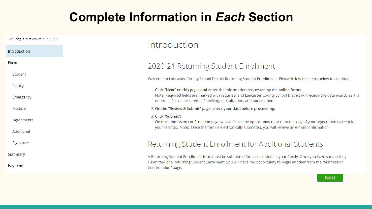## **Complete Information in** *Each* **Section**

| Returning Student Enrollment 2020-2021 | Introduction                                                                                                                                                                                            |
|----------------------------------------|---------------------------------------------------------------------------------------------------------------------------------------------------------------------------------------------------------|
| Introduction                           |                                                                                                                                                                                                         |
| Form                                   | 2020-21 Returning Student Enrollment                                                                                                                                                                    |
| Student                                | Welcome to Lancaster County School District Returning Student Enrollment. Please follow the steps below to continue.                                                                                    |
| Family                                 | 1. Click "Next" on this page, and enter the information requested by the online forms.                                                                                                                  |
| Emergency                              | Note: Required fields are marked with required, and Lancaster County School District will receive the data exactly as it is<br>entered. Please be careful of spelling, capitalization, and punctuation. |
| Medical                                | 2. On the "Review & Submit" page, check your data before proceeding.                                                                                                                                    |
| Agreements                             | 3. Click "Submit"!<br>On the submission confirmation page you will have the opportunity to print out a copy of your registration to keep for                                                            |
| Additional                             | your records. Note: Once the form is electronically submitted, you will receive an e-mail confirmation.                                                                                                 |
| Signature                              | Returning Student Enrollment for Additional Students                                                                                                                                                    |
| Summary                                | A Returning Student Enrollment form must be submitted for each student in your family. Once you have successfully                                                                                       |
| Payment                                | submitted one Returning Student Enrollment, you will have the opportunity to begin another from the "Submission<br>Confirmation" page.                                                                  |

Next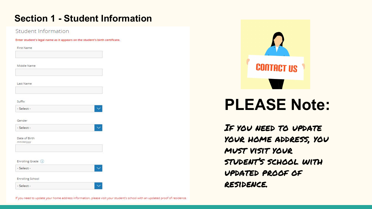### **Section 1 - Student Information**

| <b>First Name</b>           |  |  |
|-----------------------------|--|--|
|                             |  |  |
| Middle Name                 |  |  |
|                             |  |  |
| Last Name                   |  |  |
|                             |  |  |
| Suffix                      |  |  |
| - Select -                  |  |  |
| Gender                      |  |  |
| - Select -                  |  |  |
| Date of Birth<br>mm/dd/yyyy |  |  |
|                             |  |  |
| Enrolling Grade (i)         |  |  |
| - Select -                  |  |  |
| <b>Enrolling School</b>     |  |  |
| - Select -                  |  |  |



## **PLEASE Note:**

If you need to update your home address, you must visit your student's school with updated proof of residence.

If you need to update your home address information, please visit your student's school with an updated proof of residence.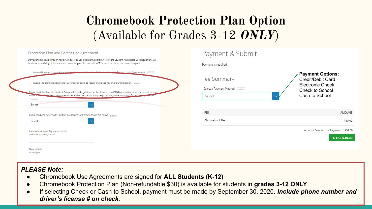## **Chromebook Protection Plan Option**  (Available for Grades 3-12 **ONLY**)

| Protection Plan and Parent Use Agreement<br>Damage that occurs through neglect, misuse, or use outside the parameters of the Student Acceptable Use Regulations will<br>be the responsibility of the student's parent or guardian and will NOT be covered under the protection plan. | Payment & Submit<br>Payment is required.         |                                                              |
|--------------------------------------------------------------------------------------------------------------------------------------------------------------------------------------------------------------------------------------------------------------------------------------|--------------------------------------------------|--------------------------------------------------------------|
| I would like to purchase the optional approximate fraction and the change of an ow child's Chromebook. Trequired<br>I waive the protection plan and I will incur all costs to repair or replace my child's Chromebook. [required]                                                    | Fee Summary                                      | <b>Payment Options:</b><br>Credit/Debit Card                 |
| I have read the District's Student Acceptable Use Regulations in the district's LEARNING newsletter or on the district website<br>anal Technology Resources and understand it is my responsibility to help my child follow these<br><b>under in-</b><br>required                     | Select a Payment Method [required]<br>- Select - | <b>Electronic Check</b><br>Check to School<br>Cash to School |
| - Select -<br>I have read and agree to the district Guidelines for Chromebook Care above [required]                                                                                                                                                                                  | FEE                                              | <b>AMOUNT</b>                                                |
| - Select -<br>Parent/Guardian's Signature [required]<br>type name of parent/guardian                                                                                                                                                                                                 | Chromebook Fee                                   | \$30.00<br>Amount Selected for Payment<br>\$30,00            |
| Date required                                                                                                                                                                                                                                                                        |                                                  | <b>TOTAL \$30.00</b>                                         |
| mm/dd/yyyy                                                                                                                                                                                                                                                                           |                                                  |                                                              |

#### *PLEASE Note:*

- Chromebook Use Agreements are signed for **ALL Students (K-12)**
- Chromebook Protection Plan (Non-refundable \$30) is available for students in **grades 3-12 ONLY**
- If selecting Check or Cash to School, payment must be made by September 30, 2020. *Include phone number and driver's license # on check.*